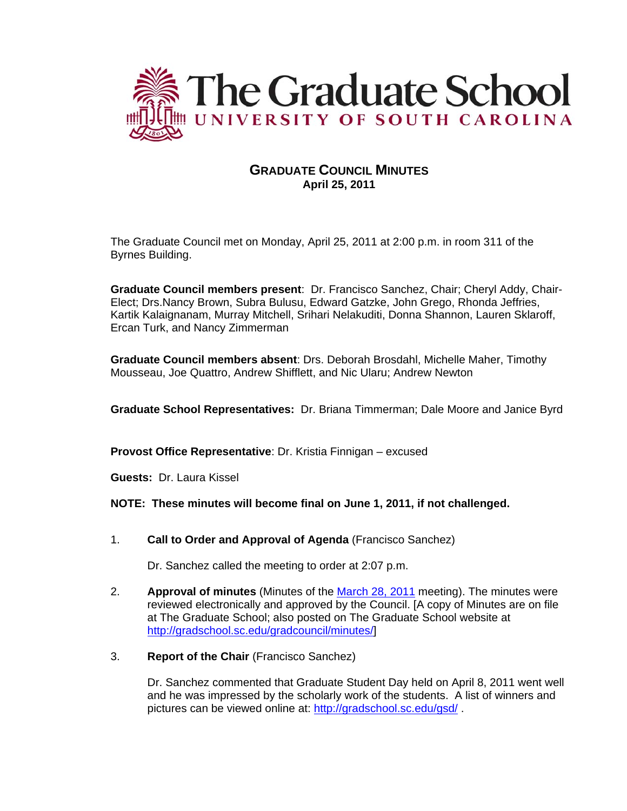

# **GRADUATE COUNCIL MINUTES April 25, 2011**

The Graduate Council met on Monday, April 25, 2011 at 2:00 p.m. in room 311 of the Byrnes Building.

**Graduate Council members present**: Dr. Francisco Sanchez, Chair; Cheryl Addy, Chair-Elect; Drs.Nancy Brown, Subra Bulusu, Edward Gatzke, John Grego, Rhonda Jeffries, Kartik Kalaignanam, Murray Mitchell, Srihari Nelakuditi, Donna Shannon, Lauren Sklaroff, Ercan Turk, and Nancy Zimmerman

**Graduate Council members absent**: Drs. Deborah Brosdahl, Michelle Maher, Timothy Mousseau, Joe Quattro, Andrew Shifflett, and Nic Ularu; Andrew Newton

**Graduate School Representatives:** Dr. Briana Timmerman; Dale Moore and Janice Byrd

**Provost Office Representative**: Dr. Kristia Finnigan – excused

**Guests:** Dr. Laura Kissel

### **NOTE: These minutes will become final on June 1, 2011, if not challenged.**

1. **Call to Order and Approval of Agenda** (Francisco Sanchez)

Dr. Sanchez called the meeting to order at 2:07 p.m.

- 2. **Approval of minutes** (Minutes of the March 28, 2011 meeting). The minutes were reviewed electronically and approved by the Council. [A copy of Minutes are on file at The Graduate School; also posted on The Graduate School website at http://gradschool.sc.edu/gradcouncil/minutes/]
- 3. **Report of the Chair** (Francisco Sanchez)

Dr. Sanchez commented that Graduate Student Day held on April 8, 2011 went well and he was impressed by the scholarly work of the students. A list of winners and pictures can be viewed online at: http://gradschool.sc.edu/gsd/ .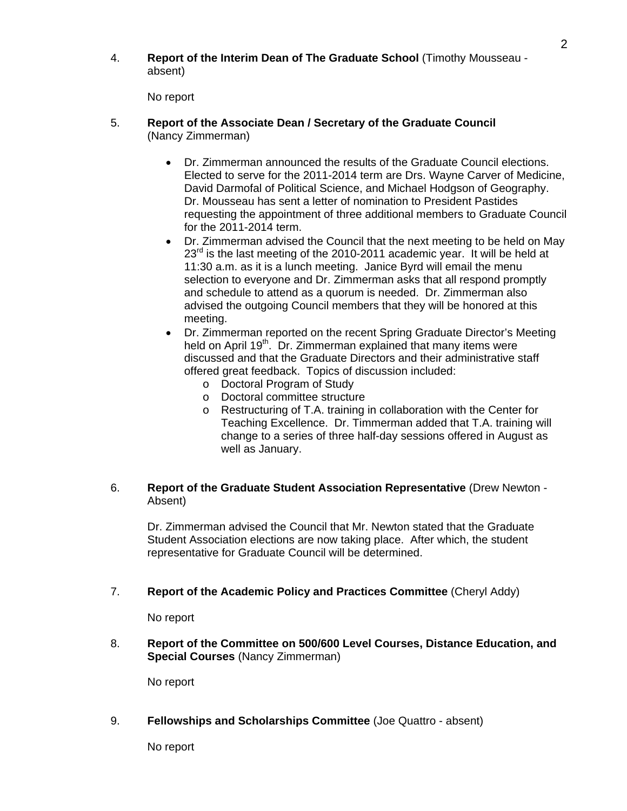4. **Report of the Interim Dean of The Graduate School** (Timothy Mousseau absent)

No report

- 5. **Report of the Associate Dean / Secretary of the Graduate Council**  (Nancy Zimmerman)
	- Dr. Zimmerman announced the results of the Graduate Council elections. Elected to serve for the 2011-2014 term are Drs. Wayne Carver of Medicine, David Darmofal of Political Science, and Michael Hodgson of Geography. Dr. Mousseau has sent a letter of nomination to President Pastides requesting the appointment of three additional members to Graduate Council for the 2011-2014 term.
	- Dr. Zimmerman advised the Council that the next meeting to be held on May  $23<sup>rd</sup>$  is the last meeting of the 2010-2011 academic year. It will be held at 11:30 a.m. as it is a lunch meeting. Janice Byrd will email the menu selection to everyone and Dr. Zimmerman asks that all respond promptly and schedule to attend as a quorum is needed. Dr. Zimmerman also advised the outgoing Council members that they will be honored at this meeting.
	- Dr. Zimmerman reported on the recent Spring Graduate Director's Meeting held on April 19<sup>th</sup>. Dr. Zimmerman explained that many items were discussed and that the Graduate Directors and their administrative staff offered great feedback. Topics of discussion included:
		- o Doctoral Program of Study
		- o Doctoral committee structure
		- o Restructuring of T.A. training in collaboration with the Center for Teaching Excellence. Dr. Timmerman added that T.A. training will change to a series of three half-day sessions offered in August as well as January.

### 6. **Report of the Graduate Student Association Representative** (Drew Newton - Absent)

 Dr. Zimmerman advised the Council that Mr. Newton stated that the Graduate Student Association elections are now taking place. After which, the student representative for Graduate Council will be determined.

## 7. **Report of the Academic Policy and Practices Committee** (Cheryl Addy)

No report

8. **Report of the Committee on 500/600 Level Courses, Distance Education, and Special Courses** (Nancy Zimmerman)

No report

## 9. **Fellowships and Scholarships Committee** (Joe Quattro - absent)

No report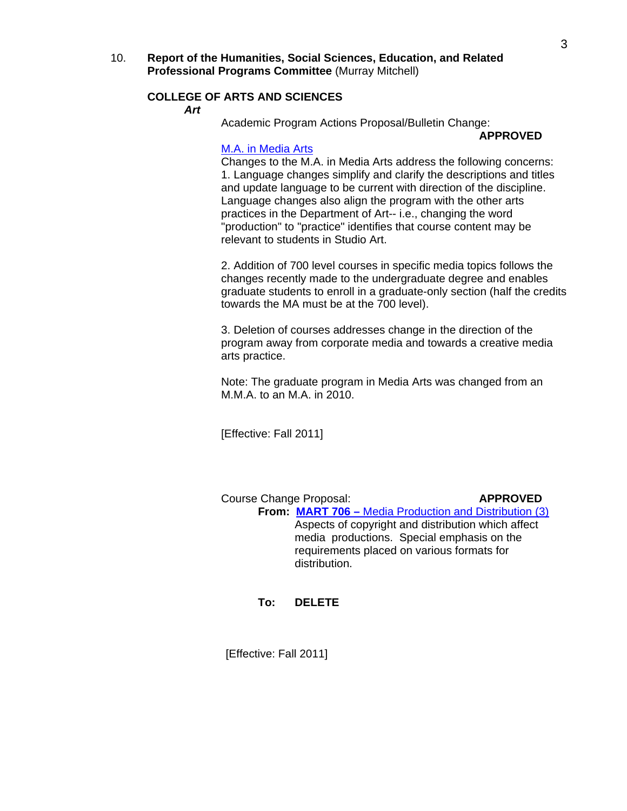10. **Report of the Humanities, Social Sciences, Education, and Related Professional Programs Committee** (Murray Mitchell)

### **COLLEGE OF ARTS AND SCIENCES**

*Art* 

Academic Program Actions Proposal/Bulletin Change:

### **APPROVED**

### M.A. in Media Arts

 Changes to the M.A. in Media Arts address the following concerns: 1. Language changes simplify and clarify the descriptions and titles and update language to be current with direction of the discipline. Language changes also align the program with the other arts practices in the Department of Art-- i.e., changing the word "production" to "practice" identifies that course content may be relevant to students in Studio Art.

 2. Addition of 700 level courses in specific media topics follows the changes recently made to the undergraduate degree and enables graduate students to enroll in a graduate-only section (half the credits towards the MA must be at the 700 level).

 3. Deletion of courses addresses change in the direction of the program away from corporate media and towards a creative media arts practice.

 Note: The graduate program in Media Arts was changed from an M.M.A. to an M.A. in 2010.

[Effective: Fall 2011]

Course Change Proposal: **APPROVED From: MART 706 –** Media Production and Distribution (3) Aspects of copyright and distribution which affect media productions. Special emphasis on the requirements placed on various formats for distribution.

**To: DELETE**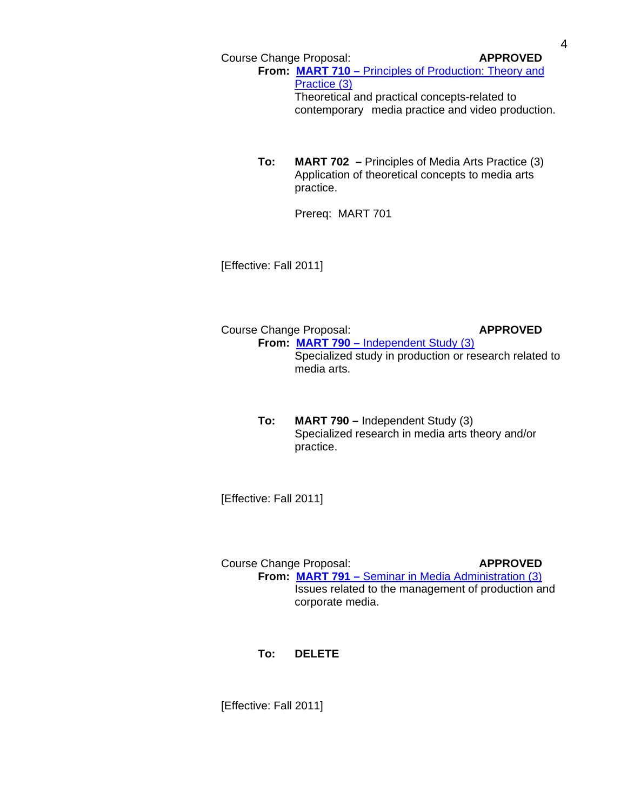Course Change Proposal: **APPROVED** From: MART 710 – Principles of Production: Theory and Practice (3) Theoretical and practical concepts-related to contemporary media practice and video production.

> **To: MART 702 –** Principles of Media Arts Practice (3) Application of theoretical concepts to media arts practice.

> > Prereq: MART 701

[Effective: Fall 2011]

Course Change Proposal: **APPROVED From: MART 790 –** Independent Study (3) Specialized study in production or research related to media arts.

> **To: MART 790 –** Independent Study (3) Specialized research in media arts theory and/or practice.

[Effective: Fall 2011]

Course Change Proposal: **APPROVED From: MART 791 –** Seminar in Media Administration (3) Issues related to the management of production and corporate media.

**To: DELETE**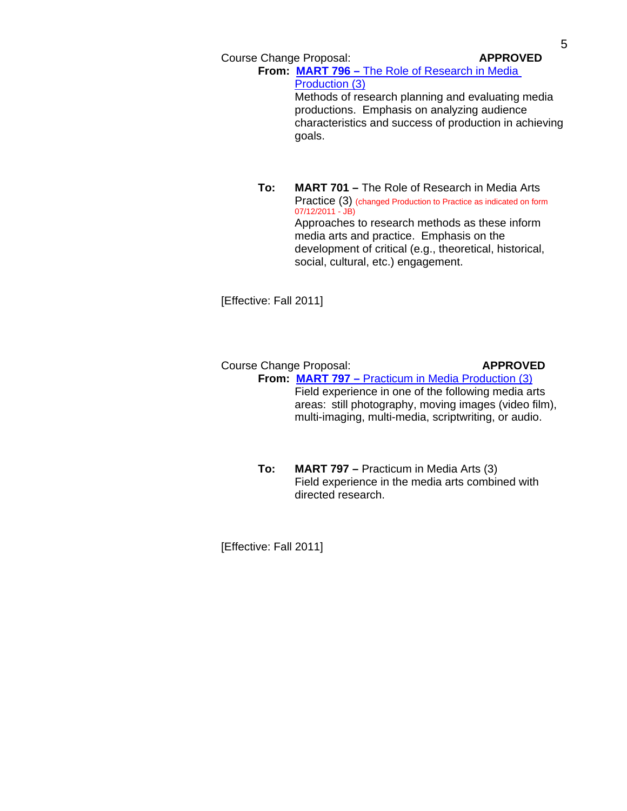Course Change Proposal: **APPROVED** 

**From: MART 796 –** The Role of Research in Media Production (3) Methods of research planning and evaluating media

 productions. Emphasis on analyzing audience characteristics and success of production in achieving goals.

**To: MART 701 –** The Role of Research in Media Arts Practice (3) (changed Production to Practice as indicated on form 07/12/2011 - JB) Approaches to research methods as these inform media arts and practice. Emphasis on the development of critical (e.g., theoretical, historical, social, cultural, etc.) engagement.

[Effective: Fall 2011]

 Course Change Proposal: **APPROVED From: MART 797 –** Practicum in Media Production (3) Field experience in one of the following media arts areas: still photography, moving images (video film), multi-imaging, multi-media, scriptwriting, or audio.

> **To: MART 797 –** Practicum in Media Arts (3) Field experience in the media arts combined with directed research.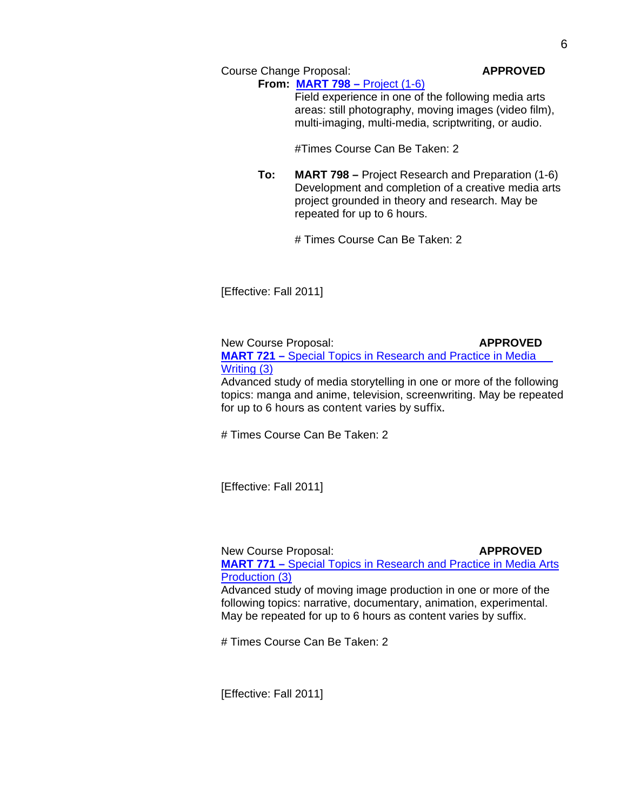Course Change Proposal: **APPROVED**

**From: MART 798 –** Project (1-6) Field experience in one of the following media arts areas: still photography, moving images (video film), multi-imaging, multi-media, scriptwriting, or audio.

#Times Course Can Be Taken: 2

**To: MART 798 –** Project Research and Preparation (1-6) Development and completion of a creative media arts project grounded in theory and research. May be repeated for up to 6 hours.

# Times Course Can Be Taken: 2

[Effective: Fall 2011]

New Course Proposal: **APPROVED MART 721 –** Special Topics in Research and Practice in Media Writing (3) Advanced study of media storytelling in one or more of the following topics: manga and anime, television, screenwriting. May be repeated for up to 6 hours as content varies by suffix.

# Times Course Can Be Taken: 2

[Effective: Fall 2011]

New Course Proposal: **APPROVED MART 771 –** Special Topics in Research and Practice in Media Arts Production (3)

Advanced study of moving image production in one or more of the following topics: narrative, documentary, animation, experimental. May be repeated for up to 6 hours as content varies by suffix.

# Times Course Can Be Taken: 2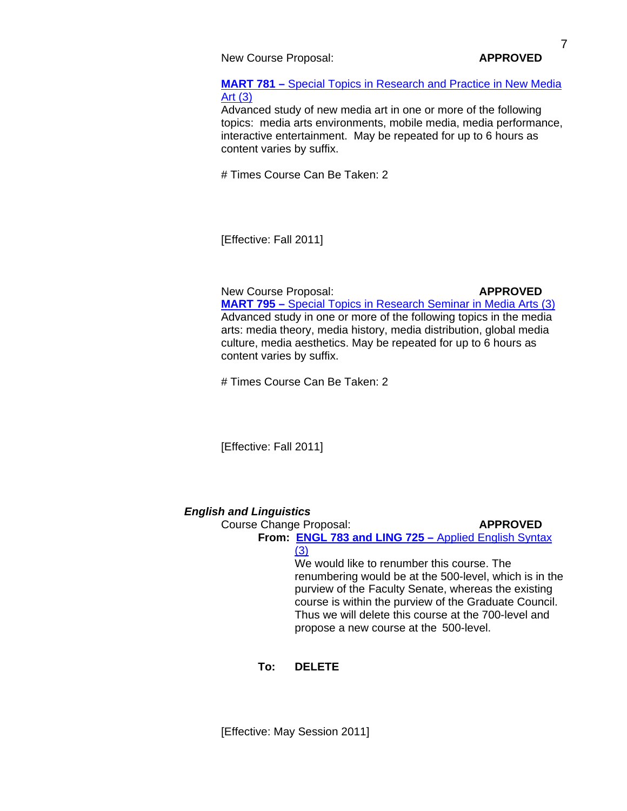New Course Proposal: **APPROVED** 

 **MART 781 –** Special Topics in Research and Practice in New Media Art (3)

Advanced study of new media art in one or more of the following topics: media arts environments, mobile media, media performance, interactive entertainment. May be repeated for up to 6 hours as content varies by suffix.

# Times Course Can Be Taken: 2

[Effective: Fall 2011]

New Course Proposal: **APPROVED MART 795 –** Special Topics in Research Seminar in Media Arts (3) Advanced study in one or more of the following topics in the media arts: media theory, media history, media distribution, global media culture, media aesthetics. May be repeated for up to 6 hours as content varies by suffix.

# Times Course Can Be Taken: 2

[Effective: Fall 2011]

## *English and Linguistics*

Course Change Proposal: **APPROVED From: ENGL 783 and LING 725 –** Applied English Syntax

 $(3)$  We would like to renumber this course. The renumbering would be at the 500-level, which is in the purview of the Faculty Senate, whereas the existing course is within the purview of the Graduate Council. Thus we will delete this course at the 700-level and propose a new course at the 500-level.

**To: DELETE**

[Effective: May Session 2011]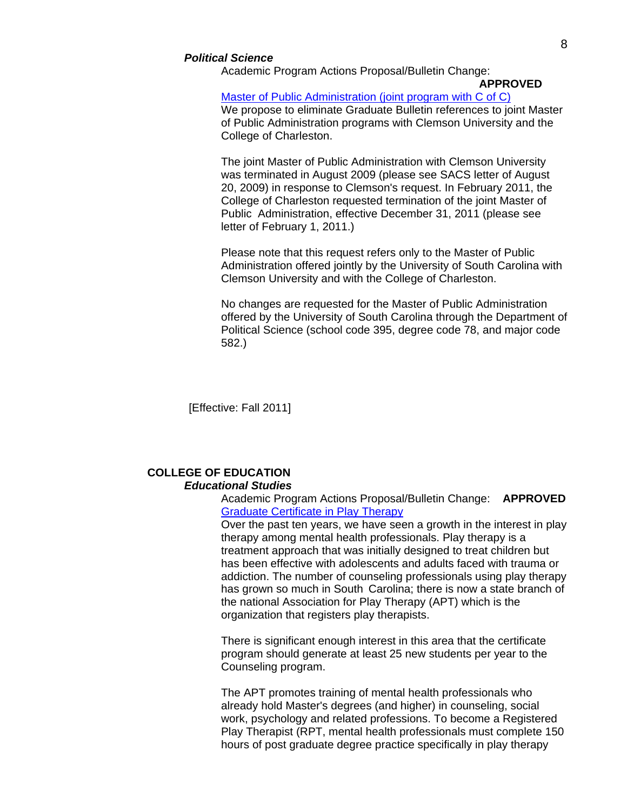### *Political Science*

Academic Program Actions Proposal/Bulletin Change:

## **APPROVED**

 Master of Public Administration (joint program with C of C) We propose to eliminate Graduate Bulletin references to joint Master of Public Administration programs with Clemson University and the College of Charleston.

 The joint Master of Public Administration with Clemson University was terminated in August 2009 (please see SACS letter of August 20, 2009) in response to Clemson's request. In February 2011, the College of Charleston requested termination of the joint Master of Public Administration, effective December 31, 2011 (please see letter of February 1, 2011.)

 Please note that this request refers only to the Master of Public Administration offered jointly by the University of South Carolina with Clemson University and with the College of Charleston.

 No changes are requested for the Master of Public Administration offered by the University of South Carolina through the Department of Political Science (school code 395, degree code 78, and major code 582.)

[Effective: Fall 2011]

### **COLLEGE OF EDUCATION**  *Educational Studies*

 Academic Program Actions Proposal/Bulletin Change: **APPROVED** Graduate Certificate in Play Therapy

 Over the past ten years, we have seen a growth in the interest in play therapy among mental health professionals. Play therapy is a treatment approach that was initially designed to treat children but has been effective with adolescents and adults faced with trauma or addiction. The number of counseling professionals using play therapy has grown so much in South Carolina; there is now a state branch of the national Association for Play Therapy (APT) which is the organization that registers play therapists.

 There is significant enough interest in this area that the certificate program should generate at least 25 new students per year to the Counseling program.

 The APT promotes training of mental health professionals who already hold Master's degrees (and higher) in counseling, social work, psychology and related professions. To become a Registered Play Therapist (RPT, mental health professionals must complete 150 hours of post graduate degree practice specifically in play therapy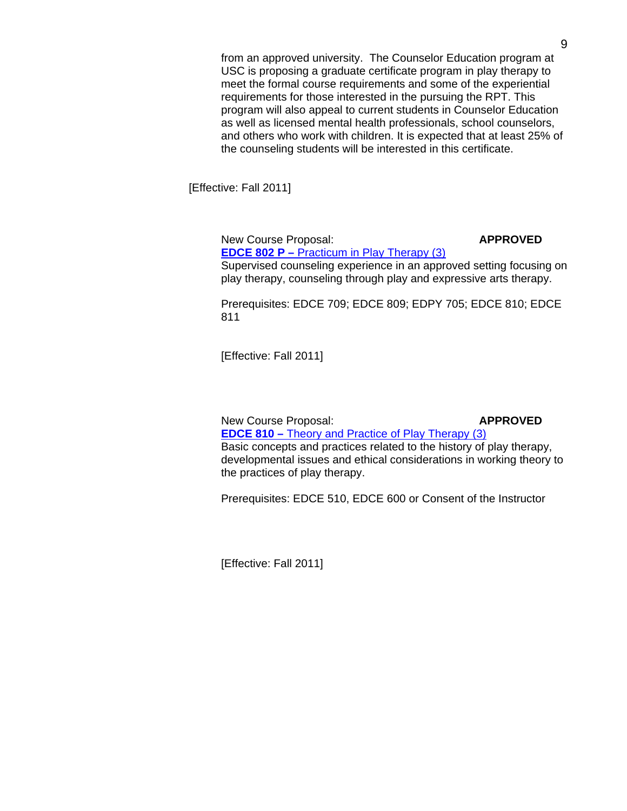from an approved university. The Counselor Education program at USC is proposing a graduate certificate program in play therapy to meet the formal course requirements and some of the experiential requirements for those interested in the pursuing the RPT. This program will also appeal to current students in Counselor Education as well as licensed mental health professionals, school counselors, and others who work with children. It is expected that at least 25% of the counseling students will be interested in this certificate.

[Effective: Fall 2011]

New Course Proposal: **APPROVED** 

 **EDCE 802 P –** Practicum in Play Therapy (3) Supervised counseling experience in an approved setting focusing on play therapy, counseling through play and expressive arts therapy.

 Prerequisites: EDCE 709; EDCE 809; EDPY 705; EDCE 810; EDCE 811

[Effective: Fall 2011]

New Course Proposal: **APPROVED EDCE 810 –** Theory and Practice of Play Therapy (3) Basic concepts and practices related to the history of play therapy, developmental issues and ethical considerations in working theory to the practices of play therapy.

Prerequisites: EDCE 510, EDCE 600 or Consent of the Instructor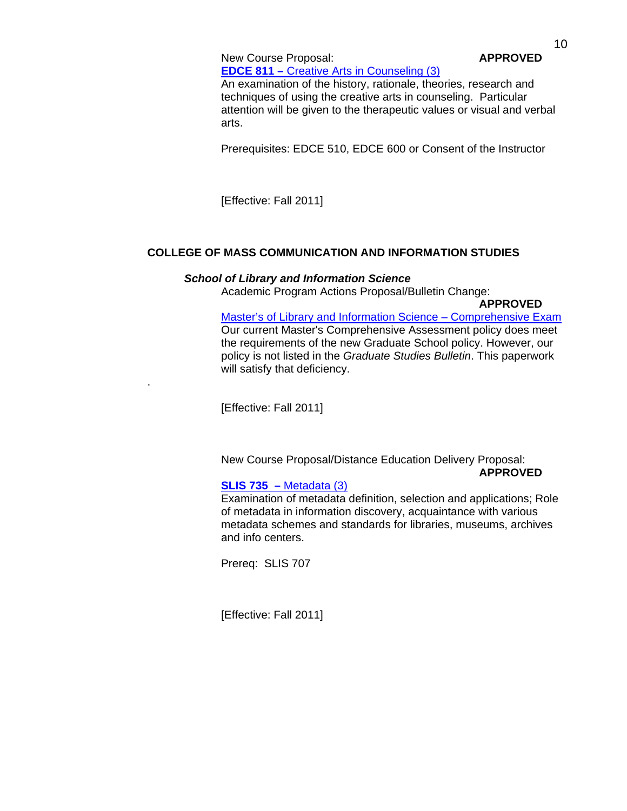New Course Proposal: **APPROVED EDCE 811 –** Creative Arts in Counseling (3)

An examination of the history, rationale, theories, research and techniques of using the creative arts in counseling. Particular attention will be given to the therapeutic values or visual and verbal arts.

Prerequisites: EDCE 510, EDCE 600 or Consent of the Instructor

[Effective: Fall 2011]

# **COLLEGE OF MASS COMMUNICATION AND INFORMATION STUDIES**

### *School of Library and Information Science*

Academic Program Actions Proposal/Bulletin Change:

**APPROVED**

 Master's of Library and Information Science – Comprehensive Exam Our current Master's Comprehensive Assessment policy does meet the requirements of the new Graduate School policy. However, our policy is not listed in the *Graduate Studies Bulletin*. This paperwork will satisfy that deficiency.

[Effective: Fall 2011]

.

 New Course Proposal/Distance Education Delivery Proposal: **APPROVED**

## **SLIS 735 –** Metadata (3)

Examination of metadata definition, selection and applications; Role of metadata in information discovery, acquaintance with various metadata schemes and standards for libraries, museums, archives and info centers.

Prereq: SLIS 707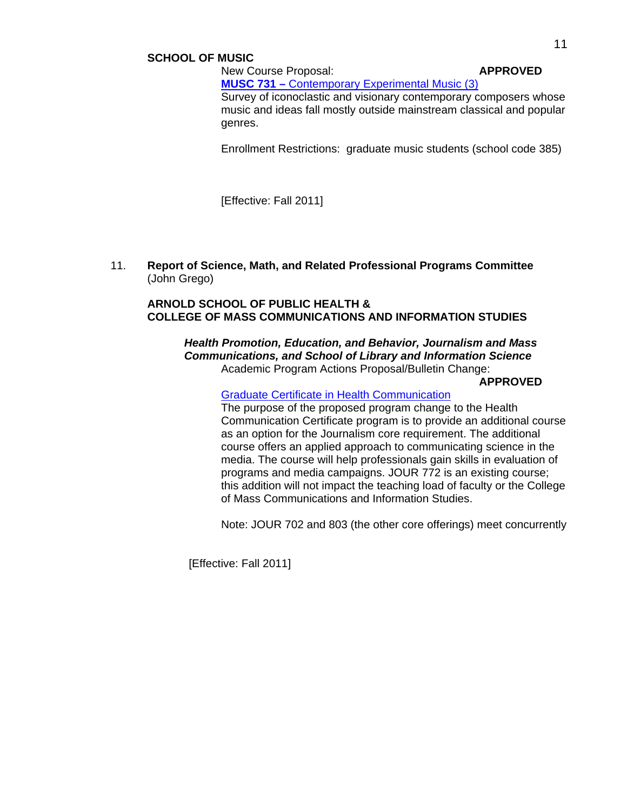### **SCHOOL OF MUSIC**

## New Course Proposal: **APPROVED MUSC 731 –** Contemporary Experimental Music (3) Survey of iconoclastic and visionary contemporary composers whose music and ideas fall mostly outside mainstream classical and popular genres.

Enrollment Restrictions: graduate music students (school code 385)

[Effective: Fall 2011]

11. **Report of Science, Math, and Related Professional Programs Committee** (John Grego)

### **ARNOLD SCHOOL OF PUBLIC HEALTH & COLLEGE OF MASS COMMUNICATIONS AND INFORMATION STUDIES**

 *Health Promotion, Education, and Behavior, Journalism and Mass Communications, and School of Library and Information Science*  Academic Program Actions Proposal/Bulletin Change:

 **APPROVED**

Graduate Certificate in Health Communication

 The purpose of the proposed program change to the Health Communication Certificate program is to provide an additional course as an option for the Journalism core requirement. The additional course offers an applied approach to communicating science in the media. The course will help professionals gain skills in evaluation of programs and media campaigns. JOUR 772 is an existing course; this addition will not impact the teaching load of faculty or the College of Mass Communications and Information Studies.

Note: JOUR 702 and 803 (the other core offerings) meet concurrently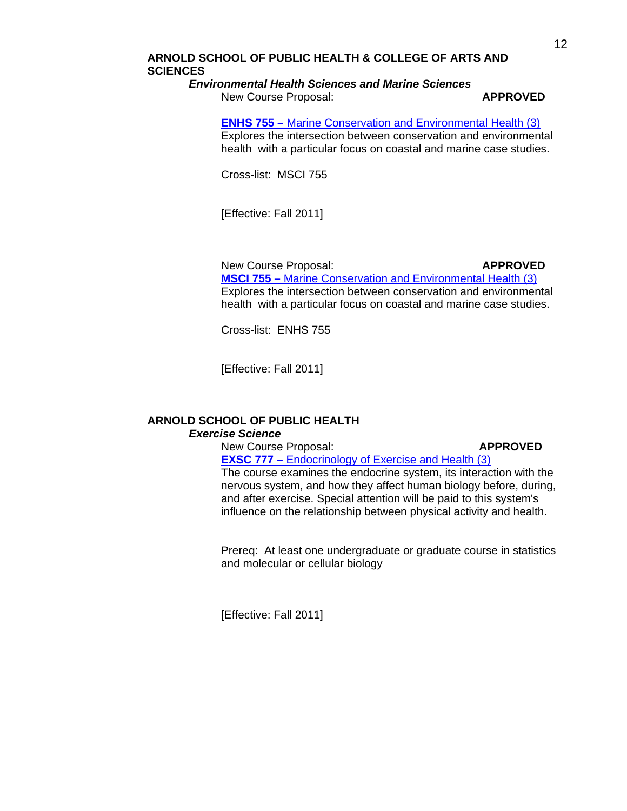# **ARNOLD SCHOOL OF PUBLIC HEALTH & COLLEGE OF ARTS AND SCIENCES**

### *Environmental Health Sciences and Marine Sciences*

New Course Proposal: **APPROVED**

### **ENHS 755 –** Marine Conservation and Environmental Health (3)

Explores the intersection between conservation and environmental health with a particular focus on coastal and marine case studies.

Cross-list: MSCI 755

[Effective: Fall 2011]

### New Course Proposal: **APPROVED MSCI 755 –** Marine Conservation and Environmental Health (3) Explores the intersection between conservation and environmental health with a particular focus on coastal and marine case studies.

Cross-list: ENHS 755

[Effective: Fall 2011]

# **ARNOLD SCHOOL OF PUBLIC HEALTH**

### *Exercise Science*

New Course Proposal: **APPROVED**

 **EXSC 777 –** Endocrinology of Exercise and Health (3) The course examines the endocrine system, its interaction with the nervous system, and how they affect human biology before, during,

 and after exercise. Special attention will be paid to this system's influence on the relationship between physical activity and health.

 Prereq: At least one undergraduate or graduate course in statistics and molecular or cellular biology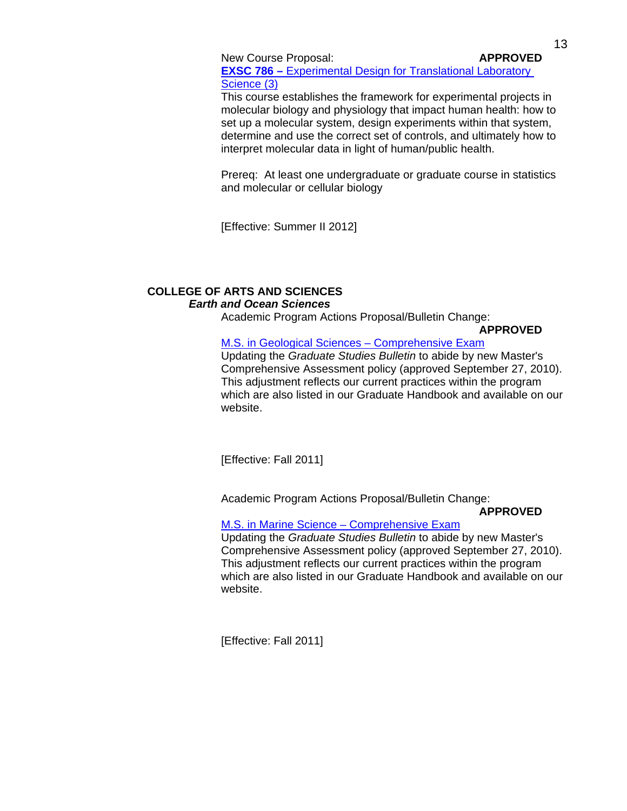New Course Proposal: **APPROVED** 

**EXSC 786 –** Experimental Design for Translational Laboratory Science (3)

 This course establishes the framework for experimental projects in molecular biology and physiology that impact human health: how to set up a molecular system, design experiments within that system, determine and use the correct set of controls, and ultimately how to interpret molecular data in light of human/public health.

 Prereq: At least one undergraduate or graduate course in statistics and molecular or cellular biology

[Effective: Summer II 2012]

# **COLLEGE OF ARTS AND SCIENCES** *Earth and Ocean Sciences*

Academic Program Actions Proposal/Bulletin Change:

 **APPROVED**

# M.S. in Geological Sciences – Comprehensive Exam

 Updating the *Graduate Studies Bulletin* to abide by new Master's Comprehensive Assessment policy (approved September 27, 2010). This adjustment reflects our current practices within the program which are also listed in our Graduate Handbook and available on our website.

[Effective: Fall 2011]

Academic Program Actions Proposal/Bulletin Change:

 **APPROVED**

# M.S. in Marine Science – Comprehensive Exam

 Updating the *Graduate Studies Bulletin* to abide by new Master's Comprehensive Assessment policy (approved September 27, 2010). This adjustment reflects our current practices within the program which are also listed in our Graduate Handbook and available on our website.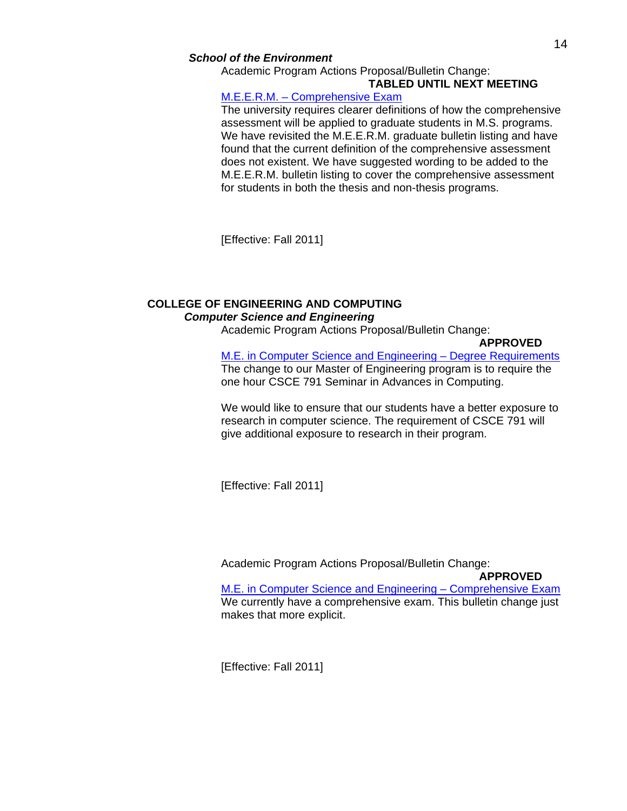### *School of the Environment*

Academic Program Actions Proposal/Bulletin Change:

# **TABLED UNTIL NEXT MEETING**

## M.E.E.R.M. – Comprehensive Exam

 The university requires clearer definitions of how the comprehensive assessment will be applied to graduate students in M.S. programs. We have revisited the M.E.E.R.M. graduate bulletin listing and have found that the current definition of the comprehensive assessment does not existent. We have suggested wording to be added to the M.E.E.R.M. bulletin listing to cover the comprehensive assessment for students in both the thesis and non-thesis programs.

[Effective: Fall 2011]

# **COLLEGE OF ENGINEERING AND COMPUTING**  *Computer Science and Engineering*

Academic Program Actions Proposal/Bulletin Change:

### **APPROVED**

 M.E. in Computer Science and Engineering – Degree Requirements The change to our Master of Engineering program is to require the one hour CSCE 791 Seminar in Advances in Computing.

 We would like to ensure that our students have a better exposure to research in computer science. The requirement of CSCE 791 will give additional exposure to research in their program.

[Effective: Fall 2011]

Academic Program Actions Proposal/Bulletin Change:

 **APPROVED**

 M.E. in Computer Science and Engineering – Comprehensive Exam We currently have a comprehensive exam. This bulletin change just makes that more explicit.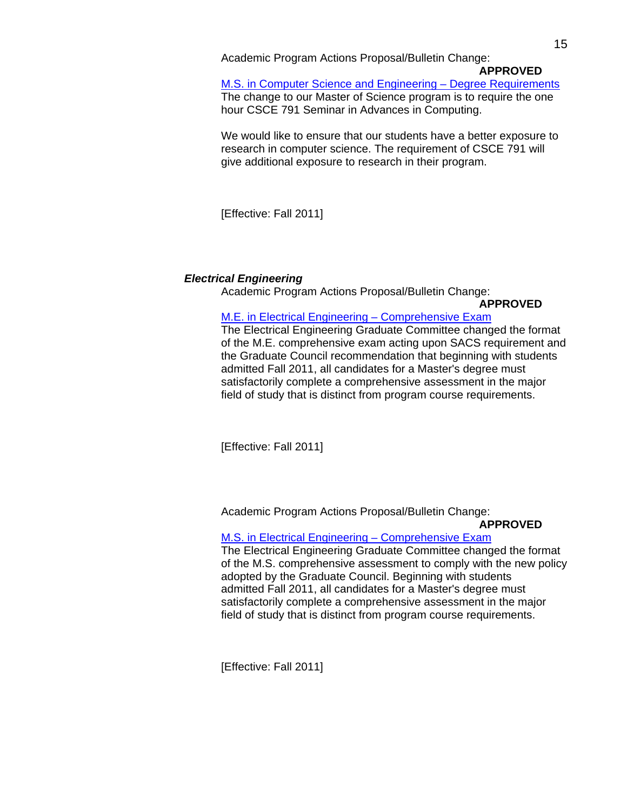Academic Program Actions Proposal/Bulletin Change:

### **APPROVED**

 M.S. in Computer Science and Engineering – Degree Requirements The change to our Master of Science program is to require the one hour CSCE 791 Seminar in Advances in Computing.

 We would like to ensure that our students have a better exposure to research in computer science. The requirement of CSCE 791 will give additional exposure to research in their program.

[Effective: Fall 2011]

## *Electrical Engineering*

Academic Program Actions Proposal/Bulletin Change:

### **APPROVED**

## M.E. in Electrical Engineering – Comprehensive Exam

 The Electrical Engineering Graduate Committee changed the format of the M.E. comprehensive exam acting upon SACS requirement and the Graduate Council recommendation that beginning with students admitted Fall 2011, all candidates for a Master's degree must satisfactorily complete a comprehensive assessment in the major field of study that is distinct from program course requirements.

[Effective: Fall 2011]

Academic Program Actions Proposal/Bulletin Change:

## **APPROVED**

## M.S. in Electrical Engineering – Comprehensive Exam

 The Electrical Engineering Graduate Committee changed the format of the M.S. comprehensive assessment to comply with the new policy adopted by the Graduate Council. Beginning with students admitted Fall 2011, all candidates for a Master's degree must satisfactorily complete a comprehensive assessment in the major field of study that is distinct from program course requirements.